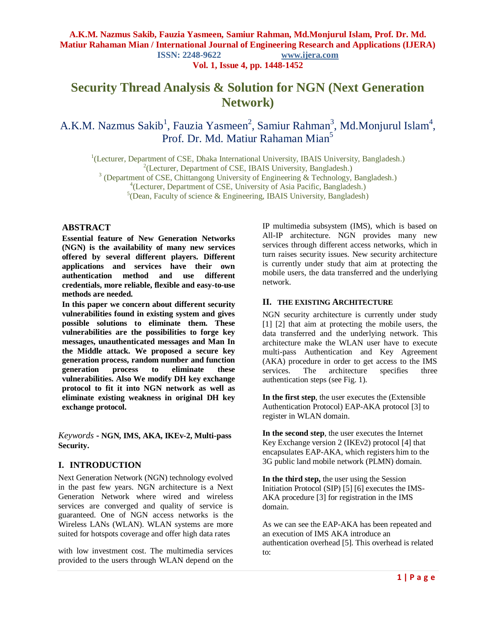**Vol. 1, Issue 4, pp. 1448-1452**

# **Security Thread Analysis & Solution for NGN (Next Generation Network)**

A.K.M. Nazmus Sakib<sup>1</sup>, Fauzia Yasmeen<sup>2</sup>, Samiur Rahman<sup>3</sup>, Md.Monjurul Islam<sup>4</sup>, Prof. Dr. Md. Matiur Rahaman Mian<sup>5</sup>

<sup>1</sup>(Lecturer, Department of CSE, Dhaka International University, IBAIS University, Bangladesh.)

<sup>2</sup>(Lecturer, Department of CSE, IBAIS University, Bangladesh.)

<sup>3</sup> (Department of CSE, Chittangong University of Engineering & Technology, Bangladesh.)

4 (Lecturer, Department of CSE, University of Asia Pacific, Bangladesh.)

<sup>5</sup>(Dean, Faculty of science & Engineering, IBAIS University, Bangladesh)

### **ABSTRACT**

**Essential feature of New Generation Networks (NGN) is the availability of many new services offered by several different players. Different applications and services have their own authentication method and use different credentials, more reliable, flexible and easy-to-use methods are needed.**

**In this paper we concern about different security vulnerabilities found in existing system and gives possible solutions to eliminate them. These vulnerabilities are the possibilities to forge key messages, unauthenticated messages and Man In the Middle attack. We proposed a secure key generation process, random number and function generation process to eliminate these vulnerabilities. Also We modify DH key exchange protocol to fit it into NGN network as well as eliminate existing weakness in original DH key exchange protocol.**

*Keywords* **- NGN, IMS, AKA, IKEv-2, Multi-pass Security.**

## **I. INTRODUCTION**

Next Generation Network (NGN) technology evolved in the past few years. NGN architecture is a Next Generation Network where wired and wireless services are converged and quality of service is guaranteed. One of NGN access networks is the Wireless LANs (WLAN). WLAN systems are more suited for hotspots coverage and offer high data rates

with low investment cost. The multimedia services provided to the users through WLAN depend on the IP multimedia subsystem (IMS), which is based on All-IP architecture. NGN provides many new services through different access networks, which in turn raises security issues. New security architecture is currently under study that aim at protecting the mobile users, the data transferred and the underlying network.

## **II. THE EXISTING ARCHITECTURE**

NGN security architecture is currently under study [1] [2] that aim at protecting the mobile users, the data transferred and the underlying network. This architecture make the WLAN user have to execute multi-pass Authentication and Key Agreement (AKA) procedure in order to get access to the IMS services. The architecture specifies three authentication steps (see Fig. 1).

**In the first step**, the user executes the (Extensible Authentication Protocol) EAP-AKA protocol [3] to register in WLAN domain.

**In the second step**, the user executes the Internet Key Exchange version 2 (IKEv2) protocol [4] that encapsulates EAP-AKA, which registers him to the 3G public land mobile network (PLMN) domain.

**In the third step,** the user using the Session Initiation Protocol (SIP) [5] [6] executes the IMS-AKA procedure [3] for registration in the IMS domain.

As we can see the EAP-AKA has been repeated and an execution of IMS AKA introduce an authentication overhead [5]. This overhead is related to: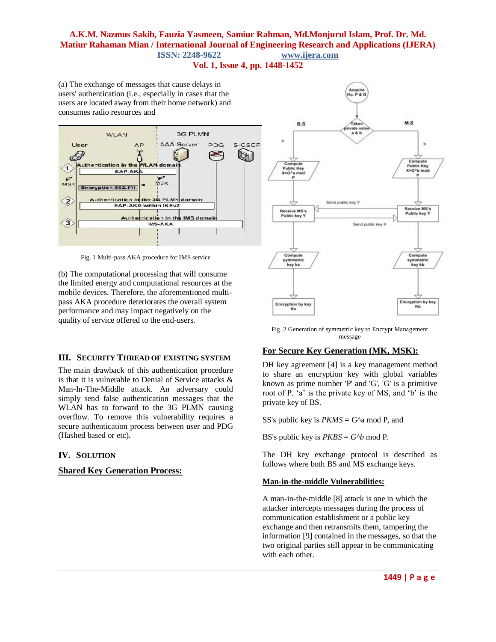**Vol. 1, Issue 4, pp. 1448-1452**

(a) The exchange of messages that cause delays in users' authentication (i.e., especially in cases that the users are located away from their home network) and consumes radio resources and



Fig. 1 Multi-pass AKA procedure for IMS service

(b) The computational processing that will consume the limited energy and computational resources at the mobile devices. Therefore, the aforementioned multipass AKA procedure deteriorates the overall system performance and may impact negatively on the quality of service offered to the end-users.

## **III. SECURITY THREAD OF EXISTING SYSTEM**

The main drawback of this authentication procedure is that it is vulnerable to Denial of Service attacks & Man-In-The-Middle attack. An adversary could simply send false authentication messages that the WLAN has to forward to the 3G PLMN causing overflow. To remove this vulnerability requires a secure authentication process between user and PDG (Hashed based or etc).

## **IV. SOLUTION**

## **Shared Key Generation Process:**



Fig. 2 Generation of symmetric key to Encrypt Management message

# **For Secure Key Generation (MK, MSK):**

DH key agreement [4] is a key management method to share an encryption key with global variables known as prime number 'P' and 'G', 'G' is a primitive root of P. 'a' is the private key of MS, and 'b' is the private key of BS.

SS's public key is  $PKMS = G^{\wedge}a \text{ mod } P$ , and

BS's public key is  $PKBS = G^b \mod P$ .

The DH key exchange protocol is described as follows where both BS and MS exchange keys.

## **Man-in-the-middle Vulnerabilities:**

A man-in-the-middle [8] attack is one in which the attacker intercepts messages during the process of communication establishment or a public key exchange and then retransmits them, tampering the information [9] contained in the messages, so that the two original parties still appear to be communicating with each other.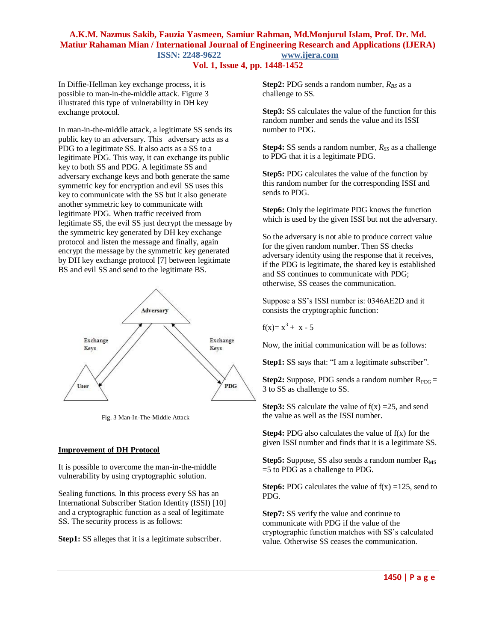## **Vol. 1, Issue 4, pp. 1448-1452**

In Diffie-Hellman key exchange process, it is possible to man-in-the-middle attack. Figure 3 illustrated this type of vulnerability in DH key exchange protocol.

In man-in-the-middle attack, a legitimate SS sends its public key to an adversary. This adversary acts as a PDG to a legitimate SS. It also acts as a SS to a legitimate PDG. This way, it can exchange its public key to both SS and PDG. A legitimate SS and adversary exchange keys and both generate the same symmetric key for encryption and evil SS uses this key to communicate with the SS but it also generate another symmetric key to communicate with legitimate PDG. When traffic received from legitimate SS, the evil SS just decrypt the message by the symmetric key generated by DH key exchange protocol and listen the message and finally, again encrypt the message by the symmetric key generated by DH key exchange protocol [7] between legitimate BS and evil SS and send to the legitimate BS.



Fig. 3 Man-In-The-Middle Attack

#### **Improvement of DH Protocol**

It is possible to overcome the man-in-the-middle vulnerability by using cryptographic solution.

Sealing functions. In this process every SS has an International Subscriber Station Identity (ISSI) [10] and a cryptographic function as a seal of legitimate SS. The security process is as follows:

**Step1:** SS alleges that it is a legitimate subscriber.

**Step2:** PDG sends a random number,  $R_{BS}$  as a challenge to SS.

**Step3:** SS calculates the value of the function for this random number and sends the value and its ISSI number to PDG.

**Step4:** SS sends a random number,  $R_{SS}$  as a challenge to PDG that it is a legitimate PDG.

**Step5:** PDG calculates the value of the function by this random number for the corresponding ISSI and sends to PDG.

**Step6:** Only the legitimate PDG knows the function which is used by the given ISSI but not the adversary.

So the adversary is not able to produce correct value for the given random number. Then SS checks adversary identity using the response that it receives, if the PDG is legitimate, the shared key is established and SS continues to communicate with PDG; otherwise, SS ceases the communication.

Suppose a SS"s ISSI number is: 0346AE2D and it consists the cryptographic function:

$$
f(x)=x^3 + x - 5
$$

Now, the initial communication will be as follows:

**Step1:** SS says that: "I am a legitimate subscriber".

**Step2:** Suppose, PDG sends a random number  $R_{PDG} =$ 3 to SS as challenge to SS.

**Step3:** SS calculate the value of  $f(x) = 25$ , and send the value as well as the ISSI number.

**Step4:** PDG also calculates the value of  $f(x)$  for the given ISSI number and finds that it is a legitimate SS.

**Step5:** Suppose, SS also sends a random number R<sub>MS</sub> =5 to PDG as a challenge to PDG.

**Step6:** PDG calculates the value of  $f(x) = 125$ , send to PDG.

**Step7:** SS verify the value and continue to communicate with PDG if the value of the cryptographic function matches with SS"s calculated value. Otherwise SS ceases the communication.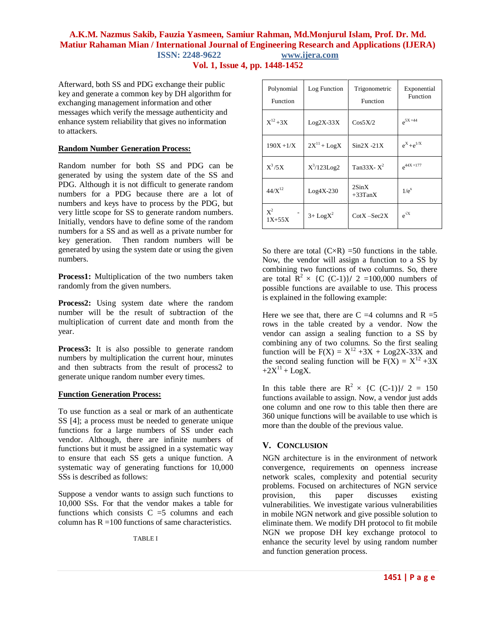**Vol. 1, Issue 4, pp. 1448-1452**

Afterward, both SS and PDG exchange their public key and generate a common key by DH algorithm for exchanging management information and other messages which verify the message authenticity and enhance system reliability that gives no information to attackers.

#### **Random Number Generation Process:**

Random number for both SS and PDG can be generated by using the system date of the SS and PDG. Although it is not difficult to generate random numbers for a PDG because there are a lot of numbers and keys have to process by the PDG, but very little scope for SS to generate random numbers. Initially, vendors have to define some of the random numbers for a SS and as well as a private number for key generation. Then random numbers will be generated by using the system date or using the given numbers.

**Process1:** Multiplication of the two numbers taken randomly from the given numbers.

**Process2:** Using system date where the random number will be the result of subtraction of the multiplication of current date and month from the year.

**Process3:** It is also possible to generate random numbers by multiplication the current hour, minutes and then subtracts from the result of process2 to generate unique random number every times.

## **Function Generation Process:**

To use function as a seal or mark of an authenticate SS [4]; a process must be needed to generate unique functions for a large numbers of SS under each vendor. Although, there are infinite numbers of functions but it must be assigned in a systematic way to ensure that each SS gets a unique function. A systematic way of generating functions for 10,000 SSs is described as follows:

Suppose a vendor wants to assign such functions to 10,000 SSs. For that the vendor makes a table for functions which consists  $C = 5$  columns and each column has  $R = 100$  functions of same characteristics.

TABLE I

| Polynomial<br>Function | Log Function            | Trigonometric<br>Function       | Exponential<br>Function          |
|------------------------|-------------------------|---------------------------------|----------------------------------|
| $X^{12} + 3X$          | $Log2X-33X$             | Cos5X/2                         | $e^{5X + 44}$                    |
| $190X + 1/X$           | $2X^{11} + Log X$       | $Sin2X - 21X$                   | $e^{X}+e^{1/X}$                  |
| $X^3/5X$               | $X^3/123Log2$           | Tan33X- $X^2$                   | $e^{44X + 177}$                  |
| $44/X^{12}$            | $Log4X-230$             | $2\text{Sin}X$<br>$+33$ Tan $X$ | $1/e^{x}$                        |
| $X^2$<br>$1X + 55X$    | $3 +$ LogX <sup>2</sup> | $\text{CotX} - \text{Sec2X}$    | $\mathrm{e}^{\mathrm{\sqrt{x}}}$ |

So there are total  $(C \times R)$  =50 functions in the table. Now, the vendor will assign a function to a SS by combining two functions of two columns. So, there are total  $\mathbb{R}^2 \times \{C$  (C-1) $\}/$  2 =100,000 numbers of possible functions are available to use. This process is explained in the following example:

Here we see that, there are  $C = 4$  columns and  $R = 5$ rows in the table created by a vendor. Now the vendor can assign a sealing function to a SS by combining any of two columns. So the first sealing function will be  $F(X) = X^{12} + 3X + Log2X-33X$  and the second sealing function will be  $F(X) = X^{12} + 3X$  $+2X^{11} + \text{Log}X$ .

In this table there are  $R^2 \times \{C (C-1)\}/2 = 150$ functions available to assign. Now, a vendor just adds one column and one row to this table then there are 360 unique functions will be available to use which is more than the double of the previous value.

## **V. CONCLUSION**

NGN architecture is in the environment of network convergence, requirements on openness increase network scales, complexity and potential security problems. Focused on architectures of NGN service provision, this paper discusses existing vulnerabilities. We investigate various vulnerabilities in mobile NGN network and give possible solution to eliminate them. We modify DH protocol to fit mobile NGN we propose DH key exchange protocol to enhance the security level by using random number and function generation process.